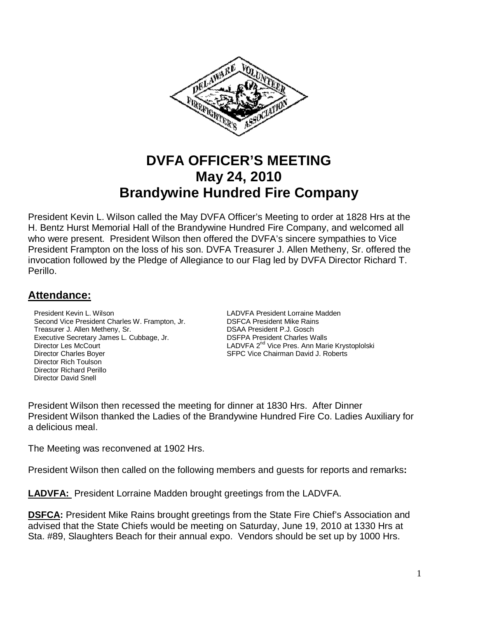

# **DVFA OFFICER'S MEETING May 24, 2010 Brandywine Hundred Fire Company**

President Kevin L. Wilson called the May DVFA Officer's Meeting to order at 1828 Hrs at the H. Bentz Hurst Memorial Hall of the Brandywine Hundred Fire Company, and welcomed all who were present. President Wilson then offered the DVFA's sincere sympathies to Vice President Frampton on the loss of his son. DVFA Treasurer J. Allen Metheny, Sr. offered the invocation followed by the Pledge of Allegiance to our Flag led by DVFA Director Richard T. Perillo.

## **Attendance:**

**President Kevin L. Wilson Charles W. Frampton, Jr. Communist CADVFA President Lorraine Madden**<br>
Second Vice President Charles W. Frampton, Jr. Communist COSFCA President Mike Rains Second Vice President Charles W. Frampton, Jr. Treasurer J. Allen Metheny, Sr. DSAA President P.J. Gosch Executive Secretary James L. Cubbage, Jr. DSFPA President Charles Walls Director Les McCourt **LADVFA 2<sup>nd</sup>** Vice Pres. Ann Marie Krystoplolski Director Charles Boyer **SEPC Vice Chairman David J. Roberts** SEPC Vice Chairman David J. Roberts Director Rich Toulson Director Richard Perillo Director David Snell

President Wilson then recessed the meeting for dinner at 1830 Hrs. After Dinner President Wilson thanked the Ladies of the Brandywine Hundred Fire Co. Ladies Auxiliary for a delicious meal.

The Meeting was reconvened at 1902 Hrs.

President Wilson then called on the following members and guests for reports and remarks**:** 

**LADVFA:** President Lorraine Madden brought greetings from the LADVFA.

**DSFCA:** President Mike Rains brought greetings from the State Fire Chief's Association and advised that the State Chiefs would be meeting on Saturday, June 19, 2010 at 1330 Hrs at Sta. #89, Slaughters Beach for their annual expo. Vendors should be set up by 1000 Hrs.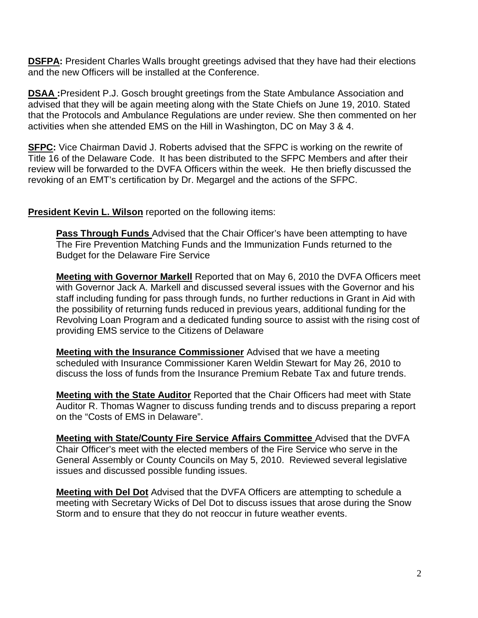**DSFPA:** President Charles Walls brought greetings advised that they have had their elections and the new Officers will be installed at the Conference.

**DSAA :**President P.J. Gosch brought greetings from the State Ambulance Association and advised that they will be again meeting along with the State Chiefs on June 19, 2010. Stated that the Protocols and Ambulance Regulations are under review. She then commented on her activities when she attended EMS on the Hill in Washington, DC on May 3 & 4.

**SFPC:** Vice Chairman David J. Roberts advised that the SFPC is working on the rewrite of Title 16 of the Delaware Code. It has been distributed to the SFPC Members and after their review will be forwarded to the DVFA Officers within the week. He then briefly discussed the revoking of an EMT's certification by Dr. Megargel and the actions of the SFPC.

#### **President Kevin L. Wilson** reported on the following items:

**Pass Through Funds** Advised that the Chair Officer's have been attempting to have The Fire Prevention Matching Funds and the Immunization Funds returned to the Budget for the Delaware Fire Service

**Meeting with Governor Markell** Reported that on May 6, 2010 the DVFA Officers meet with Governor Jack A. Markell and discussed several issues with the Governor and his staff including funding for pass through funds, no further reductions in Grant in Aid with the possibility of returning funds reduced in previous years, additional funding for the Revolving Loan Program and a dedicated funding source to assist with the rising cost of providing EMS service to the Citizens of Delaware

**Meeting with the Insurance Commissioner** Advised that we have a meeting scheduled with Insurance Commissioner Karen Weldin Stewart for May 26, 2010 to discuss the loss of funds from the Insurance Premium Rebate Tax and future trends.

**Meeting with the State Auditor** Reported that the Chair Officers had meet with State Auditor R. Thomas Wagner to discuss funding trends and to discuss preparing a report on the "Costs of EMS in Delaware".

**Meeting with State/County Fire Service Affairs Committee** Advised that the DVFA Chair Officer's meet with the elected members of the Fire Service who serve in the General Assembly or County Councils on May 5, 2010. Reviewed several legislative issues and discussed possible funding issues.

**Meeting with Del Dot** Advised that the DVFA Officers are attempting to schedule a meeting with Secretary Wicks of Del Dot to discuss issues that arose during the Snow Storm and to ensure that they do not reoccur in future weather events.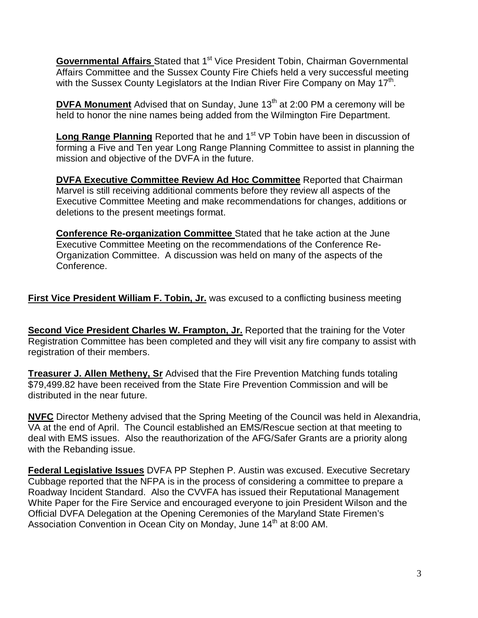**Governmental Affairs** Stated that 1<sup>st</sup> Vice President Tobin, Chairman Governmental Affairs Committee and the Sussex County Fire Chiefs held a very successful meeting with the Sussex County Legislators at the Indian River Fire Company on May 17<sup>th</sup>.

**DVFA Monument** Advised that on Sunday, June 13<sup>th</sup> at 2:00 PM a ceremony will be held to honor the nine names being added from the Wilmington Fire Department.

**Long Range Planning** Reported that he and 1<sup>st</sup> VP Tobin have been in discussion of forming a Five and Ten year Long Range Planning Committee to assist in planning the mission and objective of the DVFA in the future.

**DVFA Executive Committee Review Ad Hoc Committee** Reported that Chairman Marvel is still receiving additional comments before they review all aspects of the Executive Committee Meeting and make recommendations for changes, additions or deletions to the present meetings format.

**Conference Re-organization Committee** Stated that he take action at the June Executive Committee Meeting on the recommendations of the Conference Re-Organization Committee. A discussion was held on many of the aspects of the Conference.

**First Vice President William F. Tobin, Jr.** was excused to a conflicting business meeting

**Second Vice President Charles W. Frampton, Jr.** Reported that the training for the Voter Registration Committee has been completed and they will visit any fire company to assist with registration of their members.

**Treasurer J. Allen Metheny, Sr** Advised that the Fire Prevention Matching funds totaling \$79,499.82 have been received from the State Fire Prevention Commission and will be distributed in the near future.

**NVFC** Director Metheny advised that the Spring Meeting of the Council was held in Alexandria, VA at the end of April. The Council established an EMS/Rescue section at that meeting to deal with EMS issues. Also the reauthorization of the AFG/Safer Grants are a priority along with the Rebanding issue.

**Federal Legislative Issues** DVFA PP Stephen P. Austin was excused. Executive Secretary Cubbage reported that the NFPA is in the process of considering a committee to prepare a Roadway Incident Standard. Also the CVVFA has issued their Reputational Management White Paper for the Fire Service and encouraged everyone to join President Wilson and the Official DVFA Delegation at the Opening Ceremonies of the Maryland State Firemen's Association Convention in Ocean City on Monday, June 14<sup>th</sup> at 8:00 AM.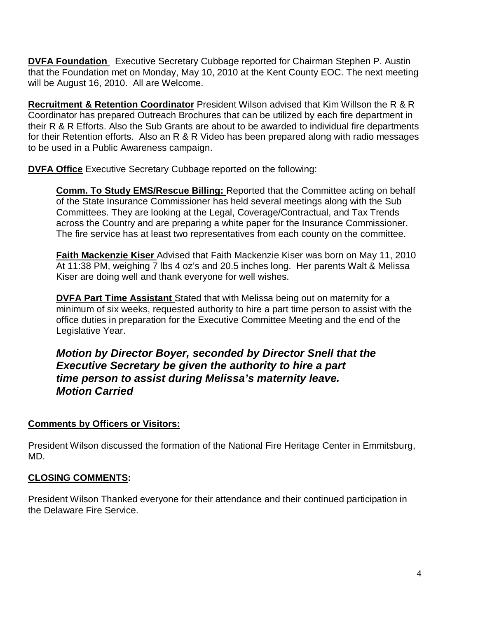**DVFA Foundation** Executive Secretary Cubbage reported for Chairman Stephen P. Austin that the Foundation met on Monday, May 10, 2010 at the Kent County EOC. The next meeting will be August 16, 2010. All are Welcome.

**Recruitment & Retention Coordinator** President Wilson advised that Kim Willson the R & R Coordinator has prepared Outreach Brochures that can be utilized by each fire department in their R & R Efforts. Also the Sub Grants are about to be awarded to individual fire departments for their Retention efforts. Also an R & R Video has been prepared along with radio messages to be used in a Public Awareness campaign.

**DVFA Office** Executive Secretary Cubbage reported on the following:

**Comm. To Study EMS/Rescue Billing:** Reported that the Committee acting on behalf of the State Insurance Commissioner has held several meetings along with the Sub Committees. They are looking at the Legal, Coverage/Contractual, and Tax Trends across the Country and are preparing a white paper for the Insurance Commissioner. The fire service has at least two representatives from each county on the committee.

**Faith Mackenzie Kiser** Advised that Faith Mackenzie Kiser was born on May 11, 2010 At 11:38 PM, weighing 7 lbs 4 oz's and 20.5 inches long. Her parents Walt & Melissa Kiser are doing well and thank everyone for well wishes.

**DVFA Part Time Assistant** Stated that with Melissa being out on maternity for a minimum of six weeks, requested authority to hire a part time person to assist with the office duties in preparation for the Executive Committee Meeting and the end of the Legislative Year.

**Motion by Director Boyer, seconded by Director Snell that the Executive Secretary be given the authority to hire a part time person to assist during Melissa's maternity leave. Motion Carried** 

### **Comments by Officers or Visitors:**

President Wilson discussed the formation of the National Fire Heritage Center in Emmitsburg, MD.

### **CLOSING COMMENTS:**

President Wilson Thanked everyone for their attendance and their continued participation in the Delaware Fire Service.